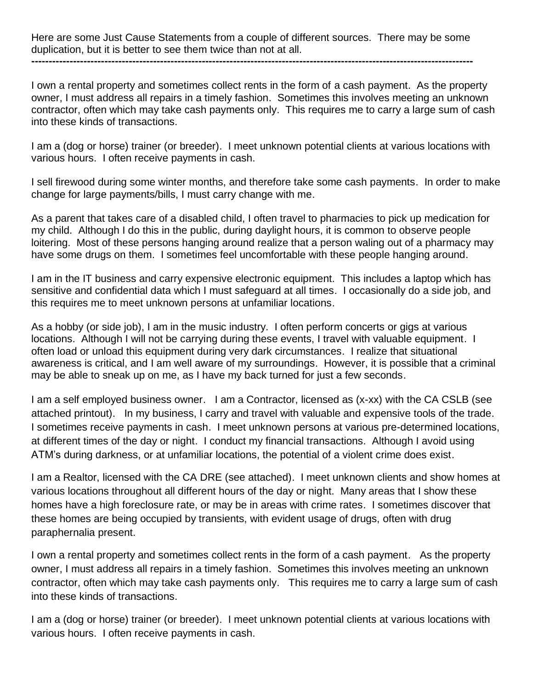Here are some Just Cause Statements from a couple of different sources. There may be some duplication, but it is better to see them twice than not at all.

**-------------------------------------------------------------------------------------------------------------------------------**

I own a rental property and sometimes collect rents in the form of a cash payment. As the property owner, I must address all repairs in a timely fashion. Sometimes this involves meeting an unknown contractor, often which may take cash payments only. This requires me to carry a large sum of cash into these kinds of transactions.

I am a (dog or horse) trainer (or breeder). I meet unknown potential clients at various locations with various hours. I often receive payments in cash.

I sell firewood during some winter months, and therefore take some cash payments. In order to make change for large payments/bills, I must carry change with me.

As a parent that takes care of a disabled child, I often travel to pharmacies to pick up medication for my child. Although I do this in the public, during daylight hours, it is common to observe people loitering. Most of these persons hanging around realize that a person waling out of a pharmacy may have some drugs on them. I sometimes feel uncomfortable with these people hanging around.

I am in the IT business and carry expensive electronic equipment. This includes a laptop which has sensitive and confidential data which I must safeguard at all times. I occasionally do a side job, and this requires me to meet unknown persons at unfamiliar locations.

As a hobby (or side job), I am in the music industry. I often perform concerts or gigs at various locations. Although I will not be carrying during these events, I travel with valuable equipment. I often load or unload this equipment during very dark circumstances. I realize that situational awareness is critical, and I am well aware of my surroundings. However, it is possible that a criminal may be able to sneak up on me, as I have my back turned for just a few seconds.

I am a self employed business owner. I am a Contractor, licensed as (x-xx) with the CA CSLB (see attached printout). In my business, I carry and travel with valuable and expensive tools of the trade. I sometimes receive payments in cash. I meet unknown persons at various pre-determined locations, at different times of the day or night. I conduct my financial transactions. Although I avoid using ATM's during darkness, or at unfamiliar locations, the potential of a violent crime does exist.

I am a Realtor, licensed with the CA DRE (see attached). I meet unknown clients and show homes at various locations throughout all different hours of the day or night. Many areas that I show these homes have a high foreclosure rate, or may be in areas with crime rates. I sometimes discover that these homes are being occupied by transients, with evident usage of drugs, often with drug paraphernalia present.

I own a rental property and sometimes collect rents in the form of a cash payment. As the property owner, I must address all repairs in a timely fashion. Sometimes this involves meeting an unknown contractor, often which may take cash payments only. This requires me to carry a large sum of cash into these kinds of transactions.

I am a (dog or horse) trainer (or breeder). I meet unknown potential clients at various locations with various hours. I often receive payments in cash.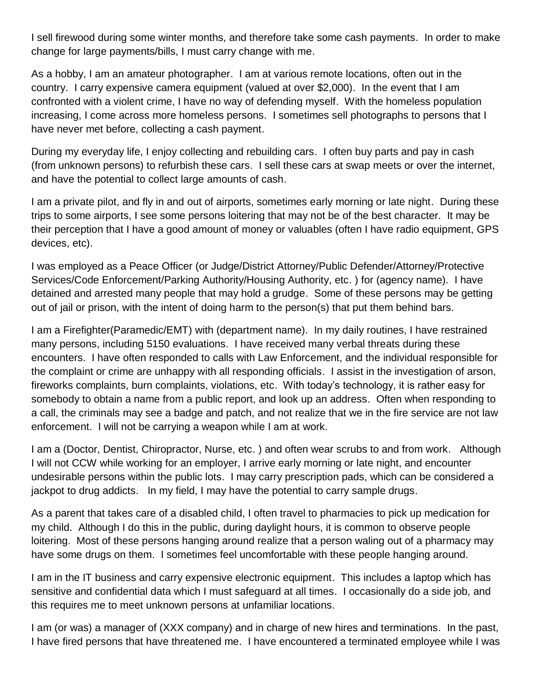I sell firewood during some winter months, and therefore take some cash payments. In order to make change for large payments/bills, I must carry change with me.

As a hobby, I am an amateur photographer. I am at various remote locations, often out in the country. I carry expensive camera equipment (valued at over \$2,000). In the event that I am confronted with a violent crime, I have no way of defending myself. With the homeless population increasing, I come across more homeless persons. I sometimes sell photographs to persons that I have never met before, collecting a cash payment.

During my everyday life, I enjoy collecting and rebuilding cars. I often buy parts and pay in cash (from unknown persons) to refurbish these cars. I sell these cars at swap meets or over the internet, and have the potential to collect large amounts of cash.

I am a private pilot, and fly in and out of airports, sometimes early morning or late night. During these trips to some airports, I see some persons loitering that may not be of the best character. It may be their perception that I have a good amount of money or valuables (often I have radio equipment, GPS devices, etc).

I was employed as a Peace Officer (or Judge/District Attorney/Public Defender/Attorney/Protective Services/Code Enforcement/Parking Authority/Housing Authority, etc. ) for (agency name). I have detained and arrested many people that may hold a grudge. Some of these persons may be getting out of jail or prison, with the intent of doing harm to the person(s) that put them behind bars.

I am a Firefighter(Paramedic/EMT) with (department name). In my daily routines, I have restrained many persons, including 5150 evaluations. I have received many verbal threats during these encounters. I have often responded to calls with Law Enforcement, and the individual responsible for the complaint or crime are unhappy with all responding officials. I assist in the investigation of arson, fireworks complaints, burn complaints, violations, etc. With today's technology, it is rather easy for somebody to obtain a name from a public report, and look up an address. Often when responding to a call, the criminals may see a badge and patch, and not realize that we in the fire service are not law enforcement. I will not be carrying a weapon while I am at work.

I am a (Doctor, Dentist, Chiropractor, Nurse, etc. ) and often wear scrubs to and from work. Although I will not CCW while working for an employer, I arrive early morning or late night, and encounter undesirable persons within the public lots. I may carry prescription pads, which can be considered a jackpot to drug addicts. In my field, I may have the potential to carry sample drugs.

As a parent that takes care of a disabled child, I often travel to pharmacies to pick up medication for my child. Although I do this in the public, during daylight hours, it is common to observe people loitering. Most of these persons hanging around realize that a person waling out of a pharmacy may have some drugs on them. I sometimes feel uncomfortable with these people hanging around.

I am in the IT business and carry expensive electronic equipment. This includes a laptop which has sensitive and confidential data which I must safeguard at all times. I occasionally do a side job, and this requires me to meet unknown persons at unfamiliar locations.

I am (or was) a manager of (XXX company) and in charge of new hires and terminations. In the past, I have fired persons that have threatened me. I have encountered a terminated employee while I was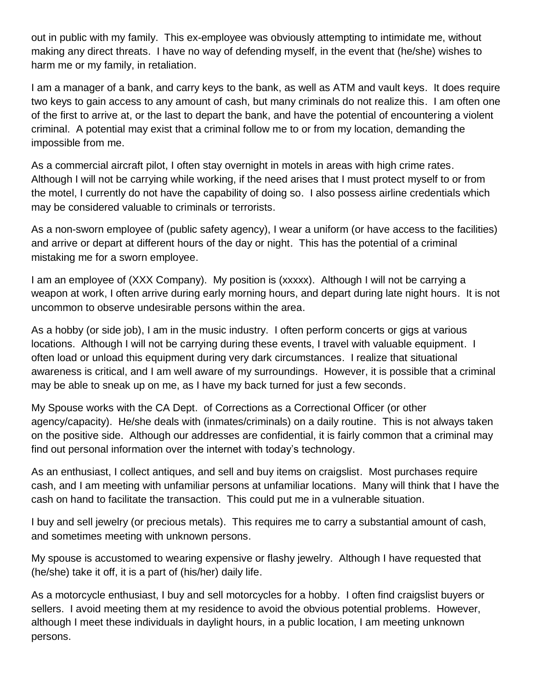out in public with my family. This ex-employee was obviously attempting to intimidate me, without making any direct threats. I have no way of defending myself, in the event that (he/she) wishes to harm me or my family, in retaliation.

I am a manager of a bank, and carry keys to the bank, as well as ATM and vault keys. It does require two keys to gain access to any amount of cash, but many criminals do not realize this. I am often one of the first to arrive at, or the last to depart the bank, and have the potential of encountering a violent criminal. A potential may exist that a criminal follow me to or from my location, demanding the impossible from me.

As a commercial aircraft pilot, I often stay overnight in motels in areas with high crime rates. Although I will not be carrying while working, if the need arises that I must protect myself to or from the motel, I currently do not have the capability of doing so. I also possess airline credentials which may be considered valuable to criminals or terrorists.

As a non-sworn employee of (public safety agency), I wear a uniform (or have access to the facilities) and arrive or depart at different hours of the day or night. This has the potential of a criminal mistaking me for a sworn employee.

I am an employee of (XXX Company). My position is (xxxxx). Although I will not be carrying a weapon at work, I often arrive during early morning hours, and depart during late night hours. It is not uncommon to observe undesirable persons within the area.

As a hobby (or side job), I am in the music industry. I often perform concerts or gigs at various locations. Although I will not be carrying during these events, I travel with valuable equipment. I often load or unload this equipment during very dark circumstances. I realize that situational awareness is critical, and I am well aware of my surroundings. However, it is possible that a criminal may be able to sneak up on me, as I have my back turned for just a few seconds.

My Spouse works with the CA Dept. of Corrections as a Correctional Officer (or other agency/capacity). He/she deals with (inmates/criminals) on a daily routine. This is not always taken on the positive side. Although our addresses are confidential, it is fairly common that a criminal may find out personal information over the internet with today's technology.

As an enthusiast, I collect antiques, and sell and buy items on craigslist. Most purchases require cash, and I am meeting with unfamiliar persons at unfamiliar locations. Many will think that I have the cash on hand to facilitate the transaction. This could put me in a vulnerable situation.

I buy and sell jewelry (or precious metals). This requires me to carry a substantial amount of cash, and sometimes meeting with unknown persons.

My spouse is accustomed to wearing expensive or flashy jewelry. Although I have requested that (he/she) take it off, it is a part of (his/her) daily life.

As a motorcycle enthusiast, I buy and sell motorcycles for a hobby. I often find craigslist buyers or sellers. I avoid meeting them at my residence to avoid the obvious potential problems. However, although I meet these individuals in daylight hours, in a public location, I am meeting unknown persons.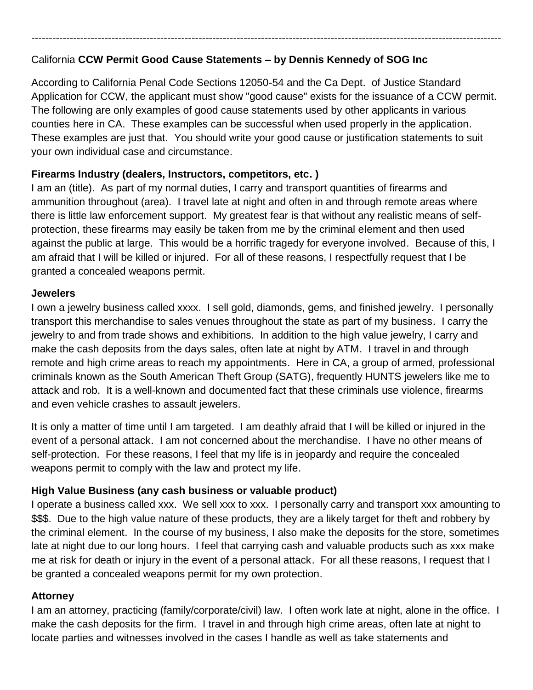# California **CCW Permit Good Cause Statements – by Dennis Kennedy of SOG Inc**

According to California Penal Code Sections 12050-54 and the Ca Dept. of Justice Standard Application for CCW, the applicant must show "good cause" exists for the issuance of a CCW permit. The following are only examples of good cause statements used by other applicants in various counties here in CA. These examples can be successful when used properly in the application. These examples are just that. You should write your good cause or justification statements to suit your own individual case and circumstance.

---------------------------------------------------------------------------------------------------------------------------------------

### **Firearms Industry (dealers, Instructors, competitors, etc. )**

I am an (title). As part of my normal duties, I carry and transport quantities of firearms and ammunition throughout (area). I travel late at night and often in and through remote areas where there is little law enforcement support. My greatest fear is that without any realistic means of selfprotection, these firearms may easily be taken from me by the criminal element and then used against the public at large. This would be a horrific tragedy for everyone involved. Because of this, I am afraid that I will be killed or injured. For all of these reasons, I respectfully request that I be granted a concealed weapons permit.

#### **Jewelers**

I own a jewelry business called xxxx. I sell gold, diamonds, gems, and finished jewelry. I personally transport this merchandise to sales venues throughout the state as part of my business. I carry the jewelry to and from trade shows and exhibitions. In addition to the high value jewelry, I carry and make the cash deposits from the days sales, often late at night by ATM. I travel in and through remote and high crime areas to reach my appointments. Here in CA, a group of armed, professional criminals known as the South American Theft Group (SATG), frequently HUNTS jewelers like me to attack and rob. It is a well-known and documented fact that these criminals use violence, firearms and even vehicle crashes to assault jewelers.

It is only a matter of time until I am targeted. I am deathly afraid that I will be killed or injured in the event of a personal attack. I am not concerned about the merchandise. I have no other means of self-protection. For these reasons, I feel that my life is in jeopardy and require the concealed weapons permit to comply with the law and protect my life.

## **High Value Business (any cash business or valuable product)**

I operate a business called xxx. We sell xxx to xxx. I personally carry and transport xxx amounting to \$\$\$. Due to the high value nature of these products, they are a likely target for theft and robbery by the criminal element. In the course of my business, I also make the deposits for the store, sometimes late at night due to our long hours. I feel that carrying cash and valuable products such as xxx make me at risk for death or injury in the event of a personal attack. For all these reasons, I request that I be granted a concealed weapons permit for my own protection.

## **Attorney**

I am an attorney, practicing (family/corporate/civil) law. I often work late at night, alone in the office. I make the cash deposits for the firm. I travel in and through high crime areas, often late at night to locate parties and witnesses involved in the cases I handle as well as take statements and